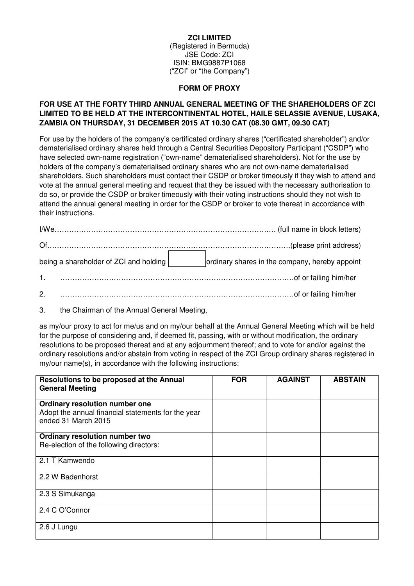#### **ZCI LIMITED**

(Registered in Bermuda) JSE Code: ZCI ISIN: BMG9887P1068 ("ZCI" or "the Company")

#### **FORM OF PROXY**

## **FOR USE AT THE FORTY THIRD ANNUAL GENERAL MEETING OF THE SHAREHOLDERS OF ZCI LIMITED TO BE HELD AT THE INTERCONTINENTAL HOTEL, HAILE SELASSIE AVENUE, LUSAKA, ZAMBIA ON THURSDAY, 31 DECEMBER 2015 AT 10.30 CAT (08.30 GMT, 09.30 CAT)**

For use by the holders of the company's certificated ordinary shares ("certificated shareholder") and/or dematerialised ordinary shares held through a Central Securities Depository Participant ("CSDP") who have selected own-name registration ("own-name" dematerialised shareholders). Not for the use by holders of the company's dematerialised ordinary shares who are not own-name dematerialised shareholders. Such shareholders must contact their CSDP or broker timeously if they wish to attend and vote at the annual general meeting and request that they be issued with the necessary authorisation to do so, or provide the CSDP or broker timeously with their voting instructions should they not wish to attend the annual general meeting in order for the CSDP or broker to vote thereat in accordance with their instructions.

| being a shareholder of ZCI and holding | ordinary shares in the company, hereby appoint |
|----------------------------------------|------------------------------------------------|
|                                        |                                                |
| 2.                                     |                                                |

3. the Chairman of the Annual General Meeting,

as my/our proxy to act for me/us and on my/our behalf at the Annual General Meeting which will be held for the purpose of considering and, if deemed fit, passing, with or without modification, the ordinary resolutions to be proposed thereat and at any adjournment thereof; and to vote for and/or against the ordinary resolutions and/or abstain from voting in respect of the ZCI Group ordinary shares registered in my/our name(s), in accordance with the following instructions:

| Resolutions to be proposed at the Annual<br><b>General Meeting</b>                                          | <b>FOR</b> | <b>AGAINST</b> | <b>ABSTAIN</b> |
|-------------------------------------------------------------------------------------------------------------|------------|----------------|----------------|
| Ordinary resolution number one<br>Adopt the annual financial statements for the year<br>ended 31 March 2015 |            |                |                |
| Ordinary resolution number two<br>Re-election of the following directors:                                   |            |                |                |
| 2.1 T Kamwendo                                                                                              |            |                |                |
| 2.2 W Badenhorst                                                                                            |            |                |                |
| 2.3 S Simukanga                                                                                             |            |                |                |
| 2.4 C O'Connor                                                                                              |            |                |                |
| 2.6 J Lungu                                                                                                 |            |                |                |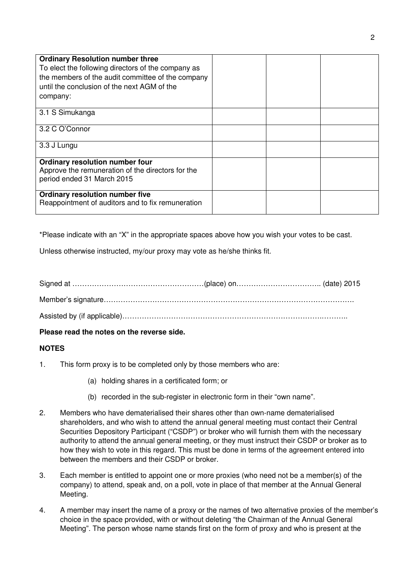| <b>Ordinary Resolution number three</b><br>To elect the following directors of the company as<br>the members of the audit committee of the company<br>until the conclusion of the next AGM of the<br>company: |  |  |
|---------------------------------------------------------------------------------------------------------------------------------------------------------------------------------------------------------------|--|--|
| 3.1 S Simukanga                                                                                                                                                                                               |  |  |
| 3.2 C O'Connor                                                                                                                                                                                                |  |  |
| 3.3 J Lungu                                                                                                                                                                                                   |  |  |
| Ordinary resolution number four<br>Approve the remuneration of the directors for the<br>period ended 31 March 2015                                                                                            |  |  |
| <b>Ordinary resolution number five</b><br>Reappointment of auditors and to fix remuneration                                                                                                                   |  |  |

\*Please indicate with an "X" in the appropriate spaces above how you wish your votes to be cast.

Unless otherwise instructed, my/our proxy may vote as he/she thinks fit.

Signed at ………………………………………………(place) on…………………………….. (date) 2015 Member's signature…………………………………………………………………………………………. Assisted by (if applicable)……………………………………………………………………….………..

# **Please read the notes on the reverse side.**

# **NOTES**

- 1. This form proxy is to be completed only by those members who are:
	- (a) holding shares in a certificated form; or
	- (b) recorded in the sub-register in electronic form in their "own name".
- 2. Members who have dematerialised their shares other than own-name dematerialised shareholders, and who wish to attend the annual general meeting must contact their Central Securities Depository Participant ("CSDP") or broker who will furnish them with the necessary authority to attend the annual general meeting, or they must instruct their CSDP or broker as to how they wish to vote in this regard. This must be done in terms of the agreement entered into between the members and their CSDP or broker.
- 3. Each member is entitled to appoint one or more proxies (who need not be a member(s) of the company) to attend, speak and, on a poll, vote in place of that member at the Annual General Meeting.
- 4. A member may insert the name of a proxy or the names of two alternative proxies of the member's choice in the space provided, with or without deleting "the Chairman of the Annual General Meeting". The person whose name stands first on the form of proxy and who is present at the